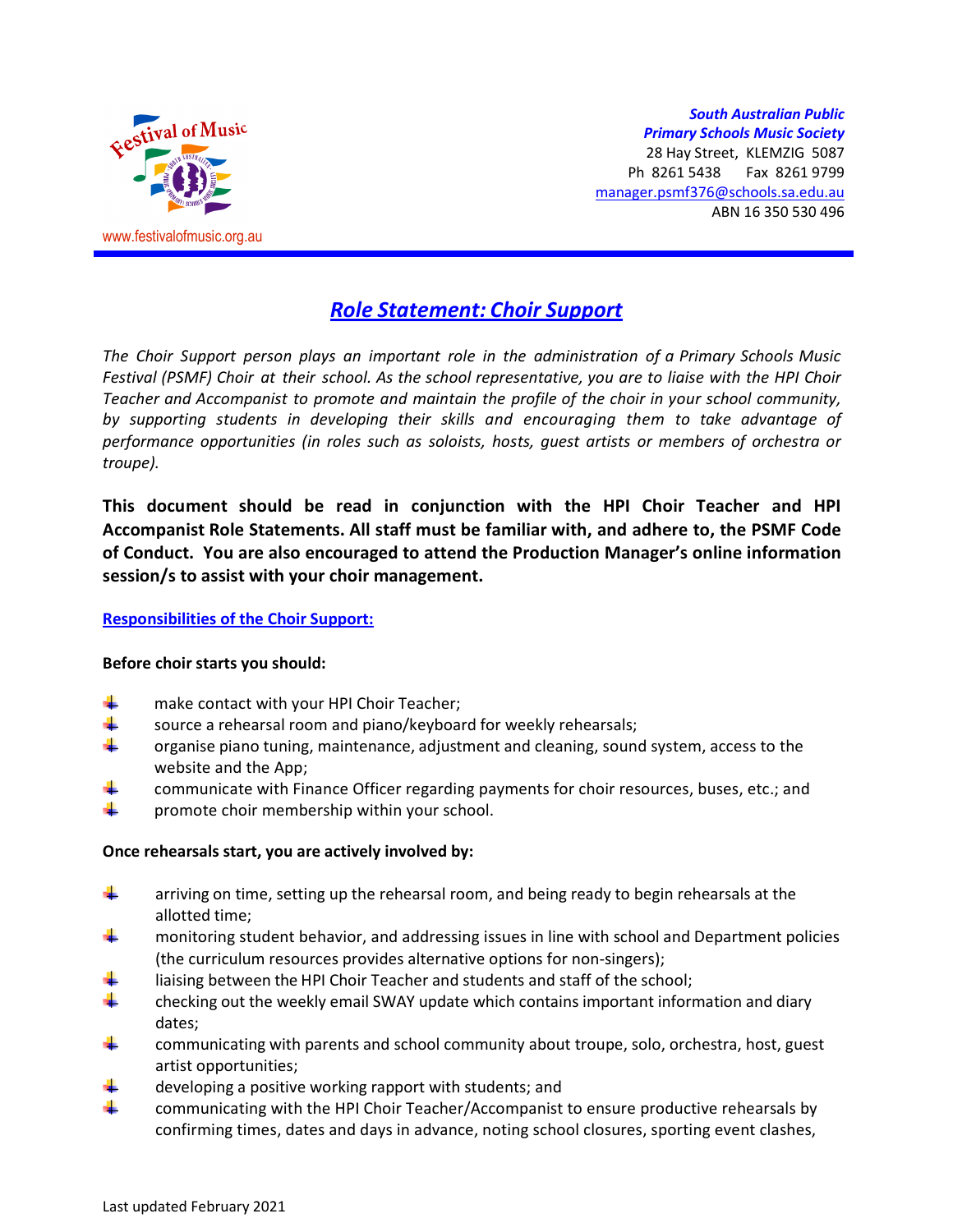

*South Australian Public Primary Schools Music Society* 28 Hay Street, KLEMZIG 5087 Ph 8261 5438 Fax 8261 9799 manager.psmf376@schools.sa.edu.au ABN 16 350 530 496

# *Role Statement: Choir Support*

*The Choir Support person plays an important role in the administration of a Primary Schools Music Festival (PSMF) Choir at their school. As the school representative, you are to liaise with the HPI Choir Teacher and Accompanist to promote and maintain the profile of the choir in your school community, by supporting students in developing their skills and encouraging them to take advantage of performance opportunities (in roles such as soloists, hosts, guest artists or members of orchestra or troupe).* 

**This document should be read in conjunction with the HPI Choir Teacher and HPI Accompanist Role Statements. All staff must be familiar with, and adhere to, the PSMF Code of Conduct. You are also encouraged to attend the Production Manager's online information session/s to assist with your choir management.** 

#### **Responsibilities of the Choir Support:**

#### **Before choir starts you should:**

- make contact with your HPI Choir Teacher;
- source a rehearsal room and piano/keyboard for weekly rehearsals;
- organise piano tuning, maintenance, adjustment and cleaning, sound system, access to the website and the App;
- communicate with Finance Officer regarding payments for choir resources, buses, etc.; and
- promote choir membership within your school.

#### **Once rehearsals start, you are actively involved by:**

- ₩ arriving on time, setting up the rehearsal room, and being ready to begin rehearsals at the allotted time;
- monitoring student behavior, and addressing issues in line with school and Department policies (the curriculum resources provides alternative options for non-singers);
- liaising between the HPI Choir Teacher and students and staff of the school;
- checking out the weekly email SWAY update which contains important information and diary dates;
- communicating with parents and school community about troupe, solo, orchestra, host, guest artist opportunities;
- developing a positive working rapport with students; and
- ÷. communicating with the HPI Choir Teacher/Accompanist to ensure productive rehearsals by confirming times, dates and days in advance, noting school closures, sporting event clashes,